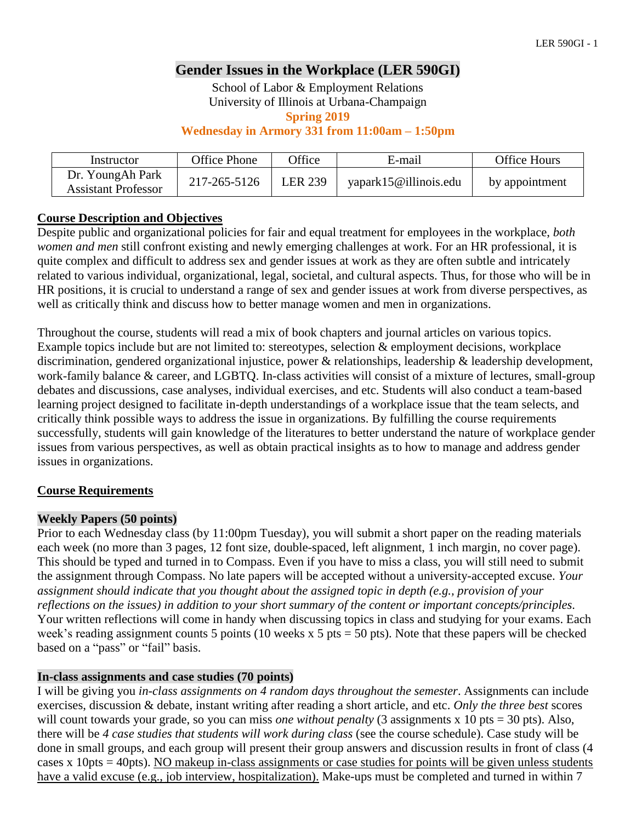# **Gender Issues in the Workplace (LER 590GI)**

School of Labor & Employment Relations University of Illinois at Urbana-Champaign

**Spring 2019**

### **Wednesday in Armory 331 from 11:00am – 1:50pm**

| Instructor                                     | Office Phone | <b>Office</b>  | E-mail                | <b>Office Hours</b> |
|------------------------------------------------|--------------|----------------|-----------------------|---------------------|
| Dr. YoungAh Park<br><b>Assistant Professor</b> | 217-265-5126 | <b>LER 239</b> | yapark15@illinois.edu | by appointment      |

### **Course Description and Objectives**

Despite public and organizational policies for fair and equal treatment for employees in the workplace, *both women and men* still confront existing and newly emerging challenges at work. For an HR professional, it is quite complex and difficult to address sex and gender issues at work as they are often subtle and intricately related to various individual, organizational, legal, societal, and cultural aspects. Thus, for those who will be in HR positions, it is crucial to understand a range of sex and gender issues at work from diverse perspectives, as well as critically think and discuss how to better manage women and men in organizations.

Throughout the course, students will read a mix of book chapters and journal articles on various topics. Example topics include but are not limited to: stereotypes, selection & employment decisions, workplace discrimination, gendered organizational injustice, power & relationships, leadership & leadership development, work-family balance & career, and LGBTQ. In-class activities will consist of a mixture of lectures, small-group debates and discussions, case analyses, individual exercises, and etc. Students will also conduct a team-based learning project designed to facilitate in-depth understandings of a workplace issue that the team selects, and critically think possible ways to address the issue in organizations. By fulfilling the course requirements successfully, students will gain knowledge of the literatures to better understand the nature of workplace gender issues from various perspectives, as well as obtain practical insights as to how to manage and address gender issues in organizations.

# **Course Requirements**

### **Weekly Papers (50 points)**

Prior to each Wednesday class (by 11:00pm Tuesday), you will submit a short paper on the reading materials each week (no more than 3 pages, 12 font size, double-spaced, left alignment, 1 inch margin, no cover page). This should be typed and turned in to Compass. Even if you have to miss a class, you will still need to submit the assignment through Compass. No late papers will be accepted without a university-accepted excuse. *Your assignment should indicate that you thought about the assigned topic in depth (e.g., provision of your reflections on the issues) in addition to your short summary of the content or important concepts/principles.* Your written reflections will come in handy when discussing topics in class and studying for your exams. Each week's reading assignment counts 5 points (10 weeks x 5 pts = 50 pts). Note that these papers will be checked based on a "pass" or "fail" basis.

### **In-class assignments and case studies (70 points)**

I will be giving you *in-class assignments on 4 random days throughout the semester*. Assignments can include exercises, discussion & debate, instant writing after reading a short article, and etc. *Only the three best* scores will count towards your grade, so you can miss *one without penalty* (3 assignments x 10 pts = 30 pts). Also, there will be *4 case studies that students will work during class* (see the course schedule). Case study will be done in small groups, and each group will present their group answers and discussion results in front of class (4 cases x 10pts = 40pts). NO makeup in-class assignments or case studies for points will be given unless students have a valid excuse (e.g., job interview, hospitalization). Make-ups must be completed and turned in within 7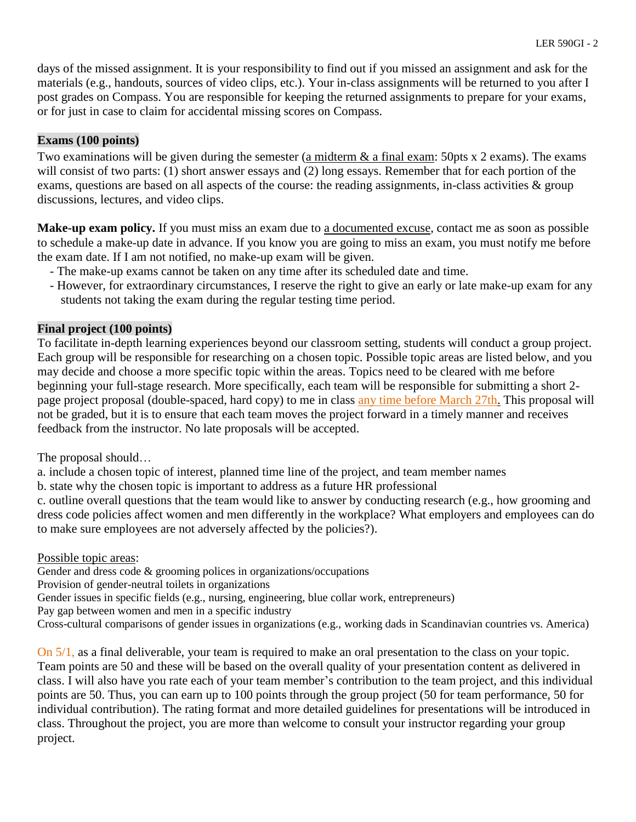days of the missed assignment. It is your responsibility to find out if you missed an assignment and ask for the materials (e.g., handouts, sources of video clips, etc.). Your in-class assignments will be returned to you after I post grades on Compass. You are responsible for keeping the returned assignments to prepare for your exams, or for just in case to claim for accidental missing scores on Compass.

# **Exams (100 points)**

Two examinations will be given during the semester (a midterm & a final exam: 50pts x 2 exams). The exams will consist of two parts: (1) short answer essays and (2) long essays. Remember that for each portion of the exams, questions are based on all aspects of the course: the reading assignments, in-class activities & group discussions, lectures, and video clips.

**Make-up exam policy.** If you must miss an exam due to a documented excuse, contact me as soon as possible to schedule a make-up date in advance. If you know you are going to miss an exam, you must notify me before the exam date. If I am not notified, no make-up exam will be given.

- The make-up exams cannot be taken on any time after its scheduled date and time.
- However, for extraordinary circumstances, I reserve the right to give an early or late make-up exam for any students not taking the exam during the regular testing time period.

# **Final project (100 points)**

To facilitate in-depth learning experiences beyond our classroom setting, students will conduct a group project. Each group will be responsible for researching on a chosen topic. Possible topic areas are listed below, and you may decide and choose a more specific topic within the areas. Topics need to be cleared with me before beginning your full-stage research. More specifically, each team will be responsible for submitting a short 2 page project proposal (double-spaced, hard copy) to me in class any time before March 27th. This proposal will not be graded, but it is to ensure that each team moves the project forward in a timely manner and receives feedback from the instructor. No late proposals will be accepted.

The proposal should…

a. include a chosen topic of interest, planned time line of the project, and team member names

b. state why the chosen topic is important to address as a future HR professional

c. outline overall questions that the team would like to answer by conducting research (e.g., how grooming and dress code policies affect women and men differently in the workplace? What employers and employees can do to make sure employees are not adversely affected by the policies?).

Possible topic areas:

Gender and dress code & grooming polices in organizations/occupations

Provision of gender-neutral toilets in organizations

Gender issues in specific fields (e.g., nursing, engineering, blue collar work, entrepreneurs)

Pay gap between women and men in a specific industry

Cross-cultural comparisons of gender issues in organizations (e.g., working dads in Scandinavian countries vs. America)

On 5/1, as a final deliverable, your team is required to make an oral presentation to the class on your topic. Team points are 50 and these will be based on the overall quality of your presentation content as delivered in class. I will also have you rate each of your team member's contribution to the team project, and this individual points are 50. Thus, you can earn up to 100 points through the group project (50 for team performance, 50 for individual contribution). The rating format and more detailed guidelines for presentations will be introduced in class. Throughout the project, you are more than welcome to consult your instructor regarding your group project.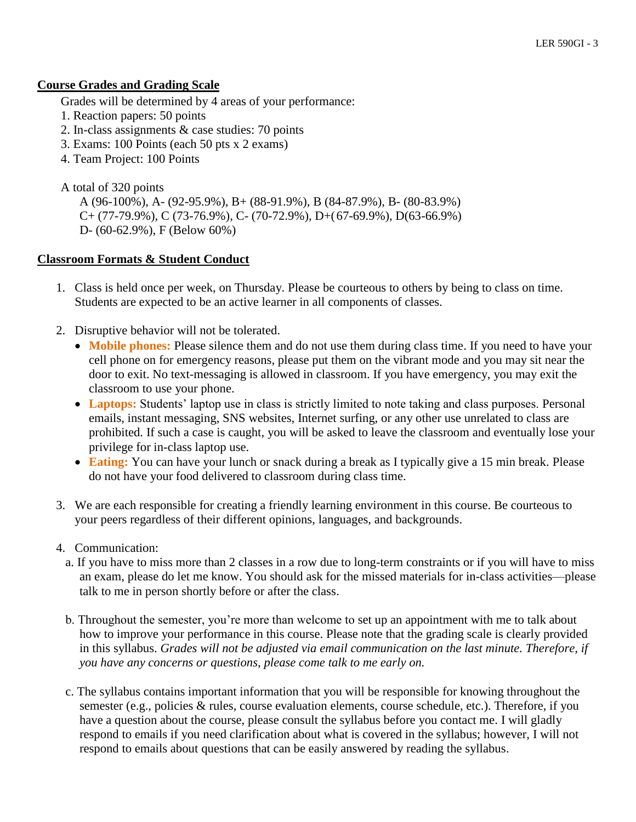### **Course Grades and Grading Scale**

Grades will be determined by 4 areas of your performance:

- 1. Reaction papers: 50 points
- 2. In-class assignments & case studies: 70 points
- 3. Exams: 100 Points (each 50 pts x 2 exams)
- 4. Team Project: 100 Points

A total of 320 points

A (96-100%), A- (92-95.9%), B+ (88-91.9%), B (84-87.9%), B- (80-83.9%) C+ (77-79.9%), C (73-76.9%), C- (70-72.9%), D+(67-69.9%), D(63-66.9%) D- (60-62.9%), F (Below 60%)

### **Classroom Formats & Student Conduct**

- 1. Class is held once per week, on Thursday. Please be courteous to others by being to class on time. Students are expected to be an active learner in all components of classes.
- 2. Disruptive behavior will not be tolerated.
	- **Mobile phones:** Please silence them and do not use them during class time. If you need to have your cell phone on for emergency reasons, please put them on the vibrant mode and you may sit near the door to exit. No text-messaging is allowed in classroom. If you have emergency, you may exit the classroom to use your phone.
	- **Laptops:** Students' laptop use in class is strictly limited to note taking and class purposes. Personal emails, instant messaging, SNS websites, Internet surfing, or any other use unrelated to class are prohibited. If such a case is caught, you will be asked to leave the classroom and eventually lose your privilege for in-class laptop use.
	- **Eating:** You can have your lunch or snack during a break as I typically give a 15 min break. Please do not have your food delivered to classroom during class time.
- 3. We are each responsible for creating a friendly learning environment in this course. Be courteous to your peers regardless of their different opinions, languages, and backgrounds.
- 4. Communication:
	- a. If you have to miss more than 2 classes in a row due to long-term constraints or if you will have to miss an exam, please do let me know. You should ask for the missed materials for in-class activities—please talk to me in person shortly before or after the class.
	- b. Throughout the semester, you're more than welcome to set up an appointment with me to talk about how to improve your performance in this course. Please note that the grading scale is clearly provided in this syllabus. *Grades will not be adjusted via email communication on the last minute. Therefore, if you have any concerns or questions, please come talk to me early on.*
	- c. The syllabus contains important information that you will be responsible for knowing throughout the semester (e.g., policies & rules, course evaluation elements, course schedule, etc.). Therefore, if you have a question about the course, please consult the syllabus before you contact me. I will gladly respond to emails if you need clarification about what is covered in the syllabus; however, I will not respond to emails about questions that can be easily answered by reading the syllabus.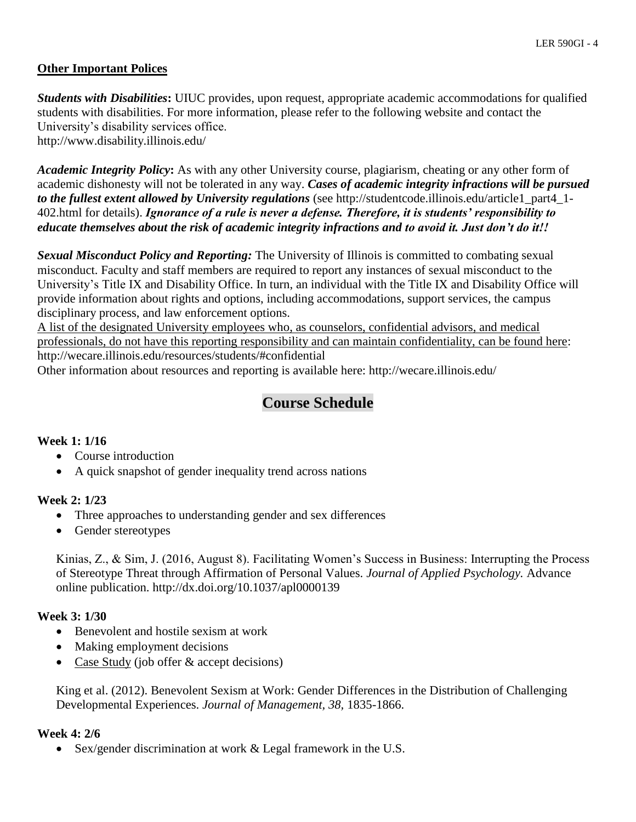### **Other Important Polices**

*Students with Disabilities***:** UIUC provides, upon request, appropriate academic accommodations for qualified students with disabilities. For more information, please refer to the following website and contact the University's disability services office.

http://www.disability.illinois.edu/

*Academic Integrity Policy***:** As with any other University course, plagiarism, cheating or any other form of academic dishonesty will not be tolerated in any way. *Cases of academic integrity infractions will be pursued to the fullest extent allowed by University regulations* (see http://studentcode.illinois.edu/article1\_part4\_1- 402.html for details). *Ignorance of a rule is never a defense. Therefore, it is students' responsibility to educate themselves about the risk of academic integrity infractions and to avoid it. Just don't do it!!*

*Sexual Misconduct Policy and Reporting:* The University of Illinois is committed to combating sexual misconduct. Faculty and staff members are required to report any instances of sexual misconduct to the University's Title IX and Disability Office. In turn, an individual with the Title IX and Disability Office will provide information about rights and options, including accommodations, support services, the campus disciplinary process, and law enforcement options.

A list of the designated University employees who, as counselors, confidential advisors, and medical professionals, do not have this reporting responsibility and can maintain confidentiality, can be found here: http://wecare.illinois.edu/resources/students/#confidential

Other information about resources and reporting is available here: http://wecare.illinois.edu/

# **Course Schedule**

### **Week 1: 1/16**

- Course introduction
- A quick snapshot of gender inequality trend across nations

#### **Week 2: 1/23**

- Three approaches to understanding gender and sex differences
- Gender stereotypes

Kinias, Z., & Sim, J. (2016, August 8). Facilitating Women's Success in Business: Interrupting the Process of Stereotype Threat through Affirmation of Personal Values. *Journal of Applied Psychology.* Advance online publication. http://dx.doi.org/10.1037/apl0000139

### **Week 3: 1/30**

- Benevolent and hostile sexism at work
- Making employment decisions
- Case Study (job offer & accept decisions)

King et al. (2012). Benevolent Sexism at Work: Gender Differences in the Distribution of Challenging Developmental Experiences. *Journal of Management, 38,* 1835-1866.

#### **Week 4: 2/6**

• Sex/gender discrimination at work & Legal framework in the U.S.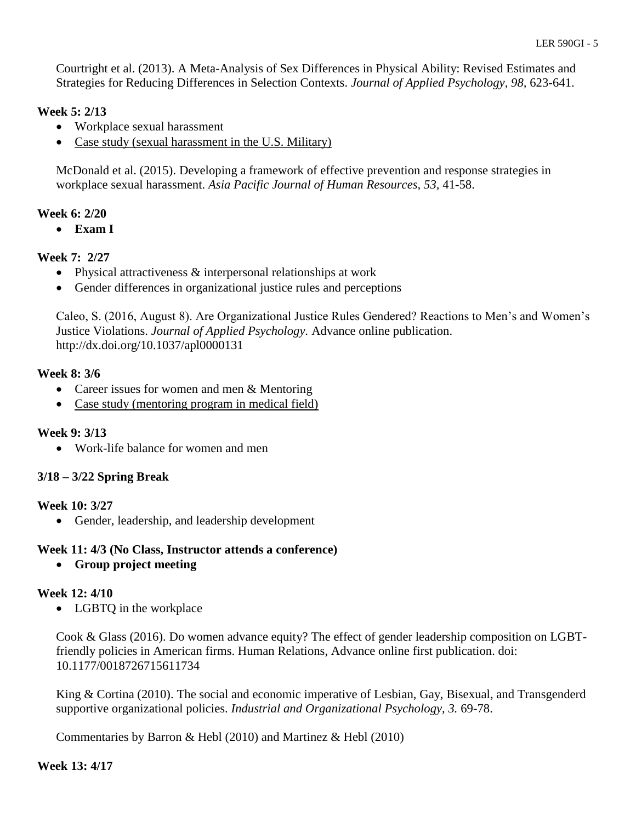Courtright et al. (2013). A Meta-Analysis of Sex Differences in Physical Ability: Revised Estimates and Strategies for Reducing Differences in Selection Contexts. *Journal of Applied Psychology, 98,* 623-641.

# **Week 5: 2/13**

- Workplace sexual harassment
- Case study (sexual harassment in the U.S. Military)

McDonald et al. (2015). Developing a framework of effective prevention and response strategies in workplace sexual harassment. *Asia Pacific Journal of Human Resources, 53,* 41-58.

# **Week 6: 2/20**

**Exam I**

# **Week 7: 2/27**

- Physical attractiveness & interpersonal relationships at work
- Gender differences in organizational justice rules and perceptions

Caleo, S. (2016, August 8). Are Organizational Justice Rules Gendered? Reactions to Men's and Women's Justice Violations. *Journal of Applied Psychology.* Advance online publication. http://dx.doi.org/10.1037/apl0000131

# **Week 8: 3/6**

- Career issues for women and men & Mentoring
- Case study (mentoring program in medical field)

# **Week 9: 3/13**

• Work-life balance for women and men

# **3/18 – 3/22 Spring Break**

# **Week 10: 3/27**

• Gender, leadership, and leadership development

# **Week 11: 4/3 (No Class, Instructor attends a conference)**

**Group project meeting**

# **Week 12: 4/10**

• LGBTQ in the workplace

Cook & Glass (2016). Do women advance equity? The effect of gender leadership composition on LGBTfriendly policies in American firms. Human Relations, Advance online first publication. doi: 10.1177/0018726715611734

King & Cortina (2010). The social and economic imperative of Lesbian, Gay, Bisexual, and Transgenderd supportive organizational policies. *Industrial and Organizational Psychology, 3.* 69-78.

Commentaries by Barron & Hebl (2010) and Martinez & Hebl (2010)

### **Week 13: 4/17**